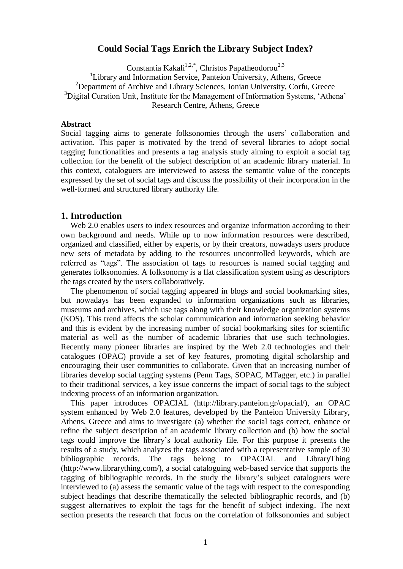# **Could Social Tags Enrich the Library Subject Index?**

Constantia Kakali<sup>1,2,\*</sup>, Christos Papatheodorou<sup>2,3</sup>

<sup>1</sup>Library and Information Service, Panteion University, Athens, Greece <sup>2</sup>Department of Archive and Library Sciences, Ionian University, Corfu, Greece <sup>3</sup>Digital Curation Unit, Institute for the Management of Information Systems, 'Athena' Research Centre, Athens, Greece

### **Abstract**

Social tagging aims to generate folksonomies through the users' collaboration and activation. This paper is motivated by the trend of several libraries to adopt social tagging functionalities and presents a tag analysis study aiming to exploit a social tag collection for the benefit of the subject description of an academic library material. In this context, cataloguers are interviewed to assess the semantic value of the concepts expressed by the set of social tags and discuss the possibility of their incorporation in the well-formed and structured library authority file.

## **1. Introduction**

Web 2.0 enables users to index resources and organize information according to their own background and needs. While up to now information resources were described, organized and classified, either by experts, or by their creators, nowadays users produce new sets of metadata by adding to the resources uncontrolled keywords, which are referred as "tags". The association of tags to resources is named social tagging and generates folksonomies. A folksonomy is a flat classification system using as descriptors the tags created by the users collaboratively.

The phenomenon of social tagging appeared in blogs and social bookmarking sites, but nowadays has been expanded to information organizations such as libraries, museums and archives, which use tags along with their knowledge organization systems (KOS). This trend affects the scholar communication and information seeking behavior and this is evident by the increasing number of social bookmarking sites for scientific material as well as the number of academic libraries that use such technologies. Recently many pioneer libraries are inspired by the Web 2.0 technologies and their catalogues (OPAC) provide a set of key features, promoting digital scholarship and encouraging their user communities to collaborate. Given that an increasing number of libraries develop social tagging systems (Penn Tags, SOPAC, MTagger, etc.) in parallel to their traditional services, a key issue concerns the impact of social tags to the subject indexing process of an information organization.

This paper introduces OPACIAL (http://library.panteion.gr/opacial/), an OPAC system enhanced by Web 2.0 features, developed by the Panteion University Library, Athens, Greece and aims to investigate (a) whether the social tags correct, enhance or refine the subject description of an academic library collection and (b) how the social tags could improve the library"s local authority file. For this purpose it presents the results of a study, which analyzes the tags associated with a representative sample of 30 bibliographic records. The tags belong to OPACIAL and LibraryThing (http://www.librarything.com/), a social cataloguing web-based service that supports the tagging of bibliographic records. In the study the library"s subject cataloguers were interviewed to (a) assess the semantic value of the tags with respect to the corresponding subject headings that describe thematically the selected bibliographic records, and (b) suggest alternatives to exploit the tags for the benefit of subject indexing. The next section presents the research that focus on the correlation of folksonomies and subject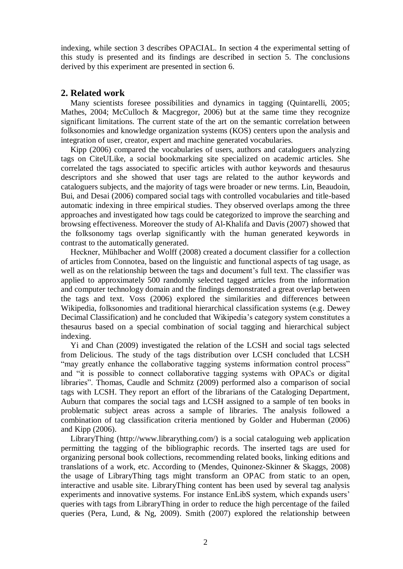indexing, while section 3 describes OPACIAL. In section 4 the experimental setting of this study is presented and its findings are described in section 5. The conclusions derived by this experiment are presented in section 6.

## **2. Related work**

Many scientists foresee possibilities and dynamics in tagging (Quintarelli, 2005; Mathes, 2004; McCulloch & Macgregor, 2006) but at the same time they recognize significant limitations. The current state of the art on the semantic correlation between folksonomies and knowledge organization systems (KOS) centers upon the analysis and integration of user, creator, expert and machine generated vocabularies.

Kipp (2006) compared the vocabularies of users, authors and cataloguers analyzing tags on CiteULike, a social bookmarking site specialized on academic articles. She correlated the tags associated to specific articles with author keywords and thesaurus descriptors and she showed that user tags are related to the author keywords and cataloguers subjects, and the majority of tags were broader or new terms. Lin, Beaudoin, Bui, and Desai (2006) compared social tags with controlled vocabularies and title-based automatic indexing in three empirical studies. They observed overlaps among the three approaches and investigated how tags could be categorized to improve the searching and browsing effectiveness. Moreover the study of Al-Khalifa and Davis (2007) showed that the folksonomy tags overlap significantly with the human generated keywords in contrast to the automatically generated.

Heckner, Mühlbacher and Wolff (2008) created a document classifier for a collection of articles from Connotea, based on the linguistic and functional aspects of tag usage, as well as on the relationship between the tags and document's full text. The classifier was applied to approximately 500 randomly selected tagged articles from the information and computer technology domain and the findings demonstrated a great overlap between the tags and text. Voss (2006) explored the similarities and differences between Wikipedia, folksonomies and traditional hierarchical classification systems (e.g. Dewey Decimal Classification) and he concluded that Wikipedia"s category system constitutes a thesaurus based on a special combination of social tagging and hierarchical subject indexing.

Yi and Chan (2009) investigated the relation of the LCSH and social tags selected from Delicious. The study of the tags distribution over LCSH concluded that LCSH "may greatly enhance the collaborative tagging systems information control process" and "it is possible to connect collaborative tagging systems with OPACs or digital libraries". Thomas, Caudle and Schmitz (2009) performed also a comparison of social tags with LCSH. They report an effort of the librarians of the Cataloging Department, Auburn that compares the social tags and LCSH assigned to a sample of ten books in problematic subject areas across a sample of libraries. The analysis followed a combination of tag classification criteria mentioned by Golder and Huberman (2006) and Kipp (2006).

LibraryThing (http://www.librarything.com/) is a social cataloguing web application permitting the tagging of the bibliographic records. The inserted tags are used for organizing personal book collections, recommending related books, linking editions and translations of a work, etc. According to (Mendes, Quinonez-Skinner & Skaggs, 2008) the usage of LibraryThing tags might transform an OPAC from static to an open, interactive and usable site. LibraryThing content has been used by several tag analysis experiments and innovative systems. For instance EnLibS system, which expands users' queries with tags from LibraryThing in order to reduce the high percentage of the failed queries (Pera, Lund, & Ng, 2009). Smith (2007) explored the relationship between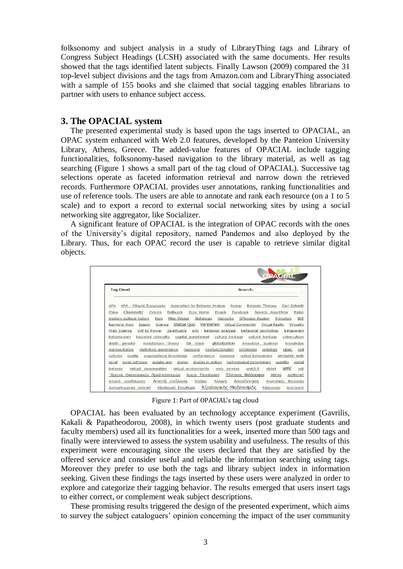folksonomy and subject analysis in a study of LibraryThing tags and Library of Congress Subject Headings (LCSH) associated with the same documents. Her results showed that the tags identified latent subjects. Finally Lawson (2009) compared the 31 top-level subject divisions and the tags from Amazon.com and LibraryThing associated with a sample of 155 books and she claimed that social tagging enables librarians to partner with users to enhance subject access.

## **3. The OPACIAL system**

The presented experimental study is based upon the tags inserted to OPACIAL, an OPAC system enhanced with Web 2.0 features, developed by the Panteion University Library, Athens, Greece. The added-value features of OPACIAL include tagging functionalities, folksonomy-based navigation to the library material, as well as tag searching (Figure 1 shows a small part of the tag cloud of OPACIAL). Successive tag selections operate as faceted information retrieval and narrow down the retrieved records. Furthermore OPACIAL provides user annotations, ranking functionalities and use of reference tools. The users are able to annotate and rank each resource (on a 1 to 5 scale) and to export a record to external social networking sites by using a social networking site aggregator, like Socializer.

A significant feature of OPACIAL is the integration of OPAC records with the ones of the University"s digital repository, named Pandemos and also deployed by the Library. Thus, for each OPAC record the user is capable to retrieve similar digital objects.

| <b>Tag Cloud</b>                           | Search:                                                                                       |
|--------------------------------------------|-----------------------------------------------------------------------------------------------|
| APA                                        | APA - Οδηγός Συγγραφής Association for Behavior Analysis Avatar Behavior Therapy Carl Schmitt |
| Clausewitz<br>Cyborg<br>China              | Dellburck Ecce Homo<br>Engels<br>Facebook<br>Genetic Algorithms<br>Italian                    |
| modern political history<br>Marx           | Nehamas<br>Nietzsche Offensive Realism<br>Max Weber<br>Princeton<br><b>RDF</b>                |
| Saladin<br>Raymond Aron                    | Science Status Quo Verstehen Virtual Communitiy Virtual Reality Virtuality                    |
| Will to Power<br>Web Science               | behavior analysis behavioral psychology<br>Zarathustra<br>anti<br>behaviorism                 |
| behaviourism                               | bounded rationality capital punishment cultural heritage cultural heritage cyberculture       |
| death penalty<br>evolutionary theory       | fair trade globalization<br>innovative business<br>knowledge                                  |
| representation                             | multi-level governance museums neofunctionalism ontologies ontology<br>opac<br>oral           |
| cultures                                   | orality organizational knowledge performance gwegwe radical behaviorism semantic web          |
|                                            |                                                                                               |
| social software<br>sozialer sinn<br>social | stories studies in politics technological determinism usability verbal                        |

Figure 1: Part of OPACIAL's tag cloud

OPACIAL has been evaluated by an technology acceptance experiment (Gavrilis, Kakali & Papatheodorou, 2008), in which twenty users (post graduate students and faculty members) used all its functionalities for a week, inserted more than 500 tags and finally were interviewed to assess the system usability and usefulness. The results of this experiment were encouraging since the users declared that they are satisfied by the offered service and consider useful and reliable the information searching using tags. Moreover they prefer to use both the tags and library subject index in information seeking. Given these findings the tags inserted by these users were analyzed in order to explore and categorize their tagging behavior. The results emerged that users insert tags to either correct, or complement weak subject descriptions.

These promising results triggered the design of the presented experiment, which aims to survey the subject cataloguers" opinion concerning the impact of the user community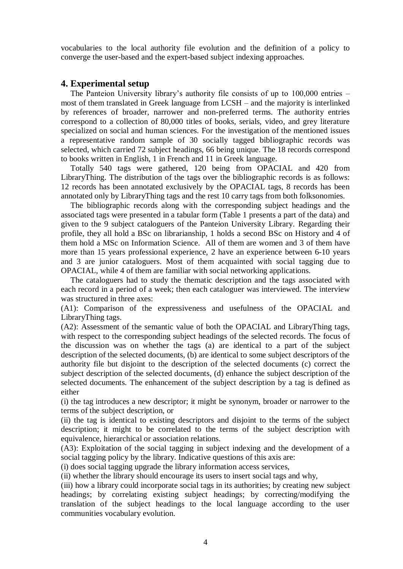vocabularies to the local authority file evolution and the definition of a policy to converge the user-based and the expert-based subject indexing approaches.

## **4. Experimental setup**

The Panteion University library's authority file consists of up to 100,000 entries – most of them translated in Greek language from LCSH – and the majority is interlinked by references of broader, narrower and non-preferred terms. The authority entries correspond to a collection of 80,000 titles of books, serials, video, and grey literature specialized on social and human sciences. For the investigation of the mentioned issues a representative random sample of 30 socially tagged bibliographic records was selected, which carried 72 subject headings, 66 being unique. The 18 records correspond to books written in English, 1 in French and 11 in Greek language.

Totally 540 tags were gathered, 120 being from OPACIAL and 420 from LibraryThing. The distribution of the tags over the bibliographic records is as follows: 12 records has been annotated exclusively by the OPACIAL tags, 8 records has been annotated only by LibraryThing tags and the rest 10 carry tags from both folksonomies.

The bibliographic records along with the corresponding subject headings and the associated tags were presented in a tabular form (Table 1 presents a part of the data) and given to the 9 subject cataloguers of the Panteion University Library. Regarding their profile, they all hold a BSc on librarianship, 1 holds a second BSc on History and 4 of them hold a MSc on Information Science. All of them are women and 3 of them have more than 15 years professional experience, 2 have an experience between 6-10 years and 3 are junior cataloguers. Most of them acquainted with social tagging due to OPACIAL, while 4 of them are familiar with social networking applications.

The cataloguers had to study the thematic description and the tags associated with each record in a period of a week; then each cataloguer was interviewed. The interview was structured in three axes:

(A1): Comparison of the expressiveness and usefulness of the OPACIAL and LibraryThing tags.

(A2): Assessment of the semantic value of both the OPACIAL and LibraryThing tags, with respect to the corresponding subject headings of the selected records. The focus of the discussion was on whether the tags (a) are identical to a part of the subject description of the selected documents, (b) are identical to some subject descriptors of the authority file but disjoint to the description of the selected documents (c) correct the subject description of the selected documents, (d) enhance the subject description of the selected documents. The enhancement of the subject description by a tag is defined as either

(i) the tag introduces a new descriptor; it might be synonym, broader or narrower to the terms of the subject description, or

(ii) the tag is identical to existing descriptors and disjoint to the terms of the subject description; it might to be correlated to the terms of the subject description with equivalence, hierarchical or association relations.

(A3): Exploitation of the social tagging in subject indexing and the development of a social tagging policy by the library. Indicative questions of this axis are:

(i) does social tagging upgrade the library information access services,

(ii) whether the library should encourage its users to insert social tags and why,

(iii) how a library could incorporate social tags in its authorities; by creating new subject headings; by correlating existing subject headings; by correcting/modifying the translation of the subject headings to the local language according to the user communities vocabulary evolution.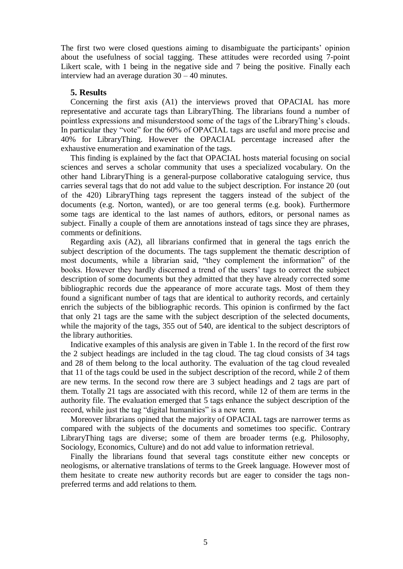The first two were closed questions aiming to disambiguate the participants" opinion about the usefulness of social tagging. These attitudes were recorded using 7-point Likert scale, with 1 being in the negative side and 7 being the positive. Finally each interview had an average duration 30 – 40 minutes.

#### **5. Results**

Concerning the first axis (A1) the interviews proved that OPACIAL has more representative and accurate tags than LibraryThing. The librarians found a number of pointless expressions and misunderstood some of the tags of the LibraryThing's clouds. In particular they "vote" for the 60% of OPACIAL tags are useful and more precise and 40% for LibraryThing. However the OPACIAL percentage increased after the exhaustive enumeration and examination of the tags.

This finding is explained by the fact that OPACIAL hosts material focusing on social sciences and serves a scholar community that uses a specialized vocabulary. On the other hand LibraryThing is a general-purpose collaborative cataloguing service, thus carries several tags that do not add value to the subject description. For instance 20 (out of the 420) LibraryThing tags represent the taggers instead of the subject of the documents (e.g. Norton, wanted), or are too general terms (e.g. book). Furthermore some tags are identical to the last names of authors, editors, or personal names as subject. Finally a couple of them are annotations instead of tags since they are phrases, comments or definitions.

Regarding axis (A2), all librarians confirmed that in general the tags enrich the subject description of the documents. The tags supplement the thematic description of most documents, while a librarian said, "they complement the information" of the books. However they hardly discerned a trend of the users' tags to correct the subject description of some documents but they admitted that they have already corrected some bibliographic records due the appearance of more accurate tags. Most of them they found a significant number of tags that are identical to authority records, and certainly enrich the subjects of the bibliographic records. This opinion is confirmed by the fact that only 21 tags are the same with the subject description of the selected documents, while the majority of the tags, 355 out of 540, are identical to the subject descriptors of the library authorities.

Indicative examples of this analysis are given in Table 1. In the record of the first row the 2 subject headings are included in the tag cloud. The tag cloud consists of 34 tags and 28 of them belong to the local authority. The evaluation of the tag cloud revealed that 11 of the tags could be used in the subject description of the record, while 2 of them are new terms. In the second row there are 3 subject headings and 2 tags are part of them. Totally 21 tags are associated with this record, while 12 of them are terms in the authority file. The evaluation emerged that 5 tags enhance the subject description of the record, while just the tag "digital humanities" is a new term.

Moreover librarians opined that the majority of OPACIAL tags are narrower terms as compared with the subjects of the documents and sometimes too specific. Contrary LibraryThing tags are diverse; some of them are broader terms (e.g. Philosophy, Sociology, Economics, Culture) and do not add value to information retrieval.

Finally the librarians found that several tags constitute either new concepts or neologisms, or alternative translations of terms to the Greek language. However most of them hesitate to create new authority records but are eager to consider the tags nonpreferred terms and add relations to them.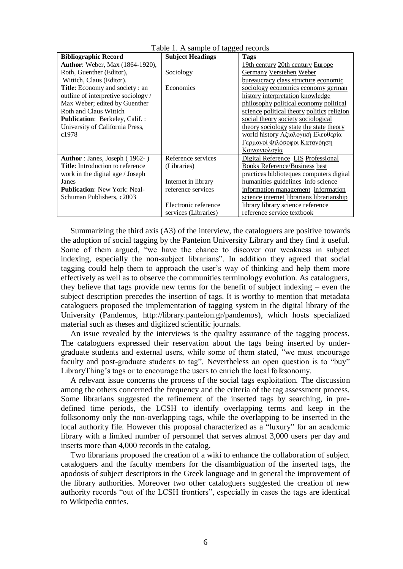| Table 1. A sample of tagged records     |                         |                                            |  |
|-----------------------------------------|-------------------------|--------------------------------------------|--|
| <b>Bibliographic Record</b>             | <b>Subject Headings</b> | Tags                                       |  |
| <b>Author:</b> Weber, Max (1864-1920),  |                         | 19th century 20th century Europe           |  |
| Roth, Guenther (Editor),                | Sociology               | <b>Germany Verstehen Weber</b>             |  |
| Wittich, Claus (Editor).                |                         | bureaucracy class structure economic       |  |
| <b>Title:</b> Economy and society : an  | Economics               | sociology economics economy german         |  |
| outline of interpretive sociology /     |                         | history interpretation knowledge           |  |
| Max Weber; edited by Guenther           |                         | philosophy political economy political     |  |
| Roth and Claus Wittich                  |                         | science political theory politics religion |  |
| <b>Publication:</b> Berkeley, Calif.:   |                         | social theory society sociological         |  |
| University of California Press,         |                         | theory sociology state the state theory    |  |
| c1978                                   |                         | <u>world history Αξιολογική Ελευθερία</u>  |  |
|                                         |                         | Γερμανοί Φιλόσοφοι Κατανόηση               |  |
|                                         |                         | Κοινωνιολογία                              |  |
| <b>Author</b> : Janes, Joseph (1962-)   | Reference services      | Digital Reference LIS Professional         |  |
| <b>Title:</b> Introduction to reference | (Libraries)             | Books Reference/Business best              |  |
| work in the digital age / Joseph        |                         | practices biblioteques computers digital   |  |
| Janes                                   | Internet in library     | humanities guidelines info science         |  |
| <b>Publication:</b> New York: Neal-     | reference services      | information management information         |  |
| Schuman Publishers, c2003               |                         | science internet librarians librarianship  |  |
|                                         | Electronic reference    | library library science reference          |  |
|                                         | services (Libraries)    | reference service textbook                 |  |

Summarizing the third axis (A3) of the interview, the cataloguers are positive towards the adoption of social tagging by the Panteion University Library and they find it useful. Some of them argued, "we have the chance to discover our weakness in subject indexing, especially the non-subject librarians". In addition they agreed that social tagging could help them to approach the user"s way of thinking and help them more effectively as well as to observe the communities terminology evolution. As cataloguers, they believe that tags provide new terms for the benefit of subject indexing – even the subject description precedes the insertion of tags. It is worthy to mention that metadata cataloguers proposed the implementation of tagging system in the digital library of the University (Pandemos, http://library.panteion.gr/pandemos), which hosts specialized material such as theses and digitized scientific journals.

An issue revealed by the interviews is the quality assurance of the tagging process. The cataloguers expressed their reservation about the tags being inserted by undergraduate students and external users, while some of them stated, "we must encourage faculty and post-graduate students to tag". Nevertheless an open question is to "buy" LibraryThing's tags or to encourage the users to enrich the local folksonomy.

A relevant issue concerns the process of the social tags exploitation. The discussion among the others concerned the frequency and the criteria of the tag assessment process. Some librarians suggested the refinement of the inserted tags by searching, in predefined time periods, the LCSH to identify overlapping terms and keep in the folksonomy only the non-overlapping tags, while the overlapping to be inserted in the local authority file. However this proposal characterized as a "luxury" for an academic library with a limited number of personnel that serves almost 3,000 users per day and inserts more than 4,000 records in the catalog.

Two librarians proposed the creation of a wiki to enhance the collaboration of subject cataloguers and the faculty members for the disambiguation of the inserted tags, the apodosis of subject descriptors in the Greek language and in general the improvement of the library authorities. Moreover two other cataloguers suggested the creation of new authority records "out of the LCSH frontiers", especially in cases the tags are identical to Wikipedia entries.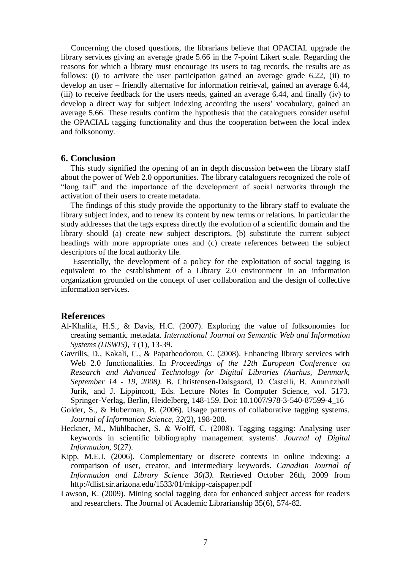Concerning the closed questions, the librarians believe that OPACIAL upgrade the library services giving an average grade 5.66 in the 7-point Likert scale. Regarding the reasons for which a library must encourage its users to tag records, the results are as follows: (i) to activate the user participation gained an average grade 6.22, (ii) to develop an user – friendly alternative for information retrieval, gained an average 6.44, (iii) to receive feedback for the users needs, gained an average 6.44, and finally (iv) to develop a direct way for subject indexing according the users' vocabulary, gained an average 5.66. These results confirm the hypothesis that the cataloguers consider useful the OPACIAL tagging functionality and thus the cooperation between the local index and folksonomy.

### **6. Conclusion**

This study signified the opening of an in depth discussion between the library staff about the power of Web 2.0 opportunities. The library cataloguers recognized the role of "long tail" and the importance of the development of social networks through the activation of their users to create metadata.

The findings of this study provide the opportunity to the library staff to evaluate the library subject index, and to renew its content by new terms or relations. In particular the study addresses that the tags express directly the evolution of a scientific domain and the library should (a) create new subject descriptors, (b) substitute the current subject headings with more appropriate ones and (c) create references between the subject descriptors of the local authority file.

 Essentially, the development of a policy for the exploitation of social tagging is equivalent to the establishment of a Library 2.0 environment in an information organization grounded on the concept of user collaboration and the design of collective information services.

#### **References**

- Al-Khalifa, H.S., & Davis, H.C. (2007). Exploring the value of folksonomies for creating semantic metadata. *International Journal on Semantic Web and Information Systems (IJSWIS)*, *3* (1), 13-39.
- Gavrilis, D., Kakali, C., & Papatheodorou, C. (2008). Enhancing library services with Web 2.0 functionalities. In *Proceedings of the 12th European Conference on Research and Advanced Technology for Digital Libraries (Aarhus, Denmark, September 14 - 19, 2008).* B. Christensen-Dalsgaard, D. Castelli, B. Ammitzbøll Jurik, and J. Lippincott, Eds. Lecture Notes In Computer Science, vol. 5173. Springer-Verlag, Berlin, Heidelberg, 148-159. Doi: 10.1007/978-3-540-87599-4\_16
- Golder, S., & Huberman, B. (2006). Usage patterns of collaborative tagging systems. *Journal of Information Science, 32*(2), 198-208.
- Heckner, M., Mühlbacher, S. & Wolff, C. (2008). Tagging tagging: Analysing user keywords in scientific bibliography management systems'. *Journal of Digital Information,* 9(27).
- Kipp, M.E.I. (2006). Complementary or discrete contexts in online indexing: a comparison of user, creator, and intermediary keywords. *Canadian Journal of Information and Library Science 30(3).* Retrieved October 26th, 2009 from http://dlist.sir.arizona.edu/1533/01/mkipp-caispaper.pdf
- Lawson, K. (2009). Mining social tagging data for enhanced subject access for readers and researchers. The Journal of Academic Librarianship 35(6), 574-82.